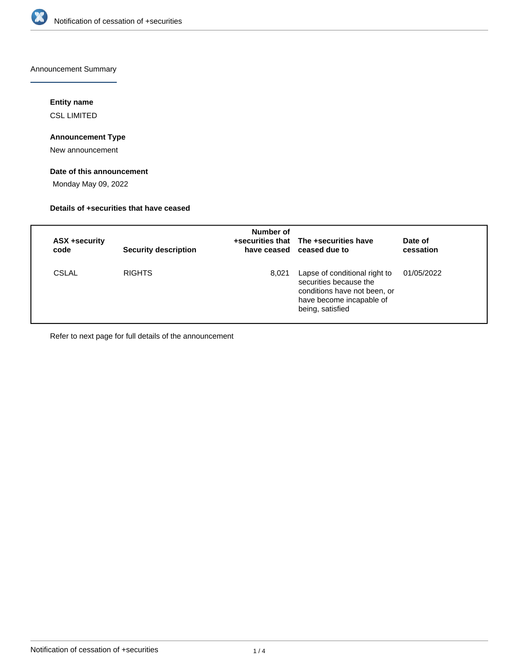

Announcement Summary

## **Entity name**

CSL LIMITED

## **Announcement Type**

New announcement

## **Date of this announcement**

Monday May 09, 2022

## **Details of +securities that have ceased**

| ASX +security<br>code | <b>Security description</b> | Number of | +securities that The +securities have<br>have ceased ceased due to                                                                      | Date of<br>cessation |
|-----------------------|-----------------------------|-----------|-----------------------------------------------------------------------------------------------------------------------------------------|----------------------|
| <b>CSLAL</b>          | <b>RIGHTS</b>               | 8.021     | Lapse of conditional right to<br>securities because the<br>conditions have not been, or<br>have become incapable of<br>being, satisfied | 01/05/2022           |

Refer to next page for full details of the announcement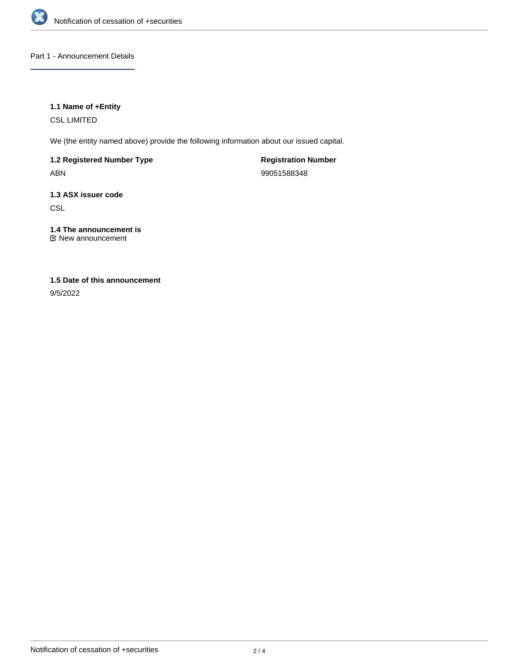

## Part 1 - Announcement Details

## **1.1 Name of +Entity**

CSL LIMITED

We (the entity named above) provide the following information about our issued capital.

**1.2 Registered Number Type**

ABN

**Registration Number** 99051588348

**1.3 ASX issuer code CSL** 

**1.4 The announcement is** New announcement

# **1.5 Date of this announcement**

9/5/2022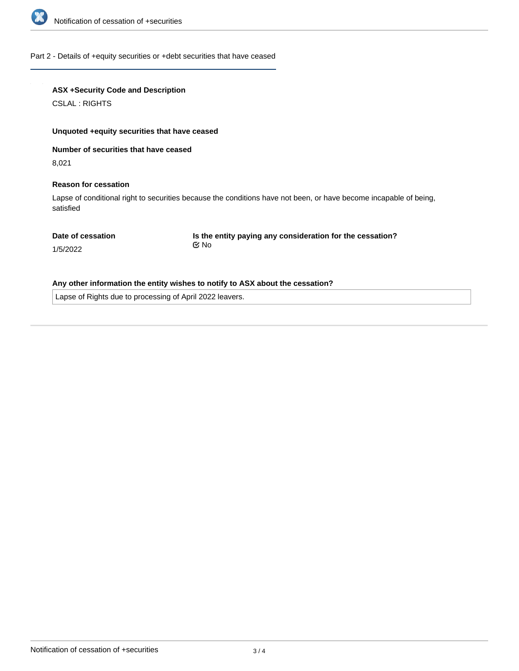

### Part 2 - Details of +equity securities or +debt securities that have ceased

## **ASX +Security Code and Description**

CSLAL : RIGHTS

#### **Unquoted +equity securities that have ceased**

**Number of securities that have ceased**

8,021

#### **Reason for cessation**

Lapse of conditional right to securities because the conditions have not been, or have become incapable of being, satisfied

#### **Date of cessation**

**Is the entity paying any consideration for the cessation?** No

1/5/2022

## **Any other information the entity wishes to notify to ASX about the cessation?**

Lapse of Rights due to processing of April 2022 leavers.